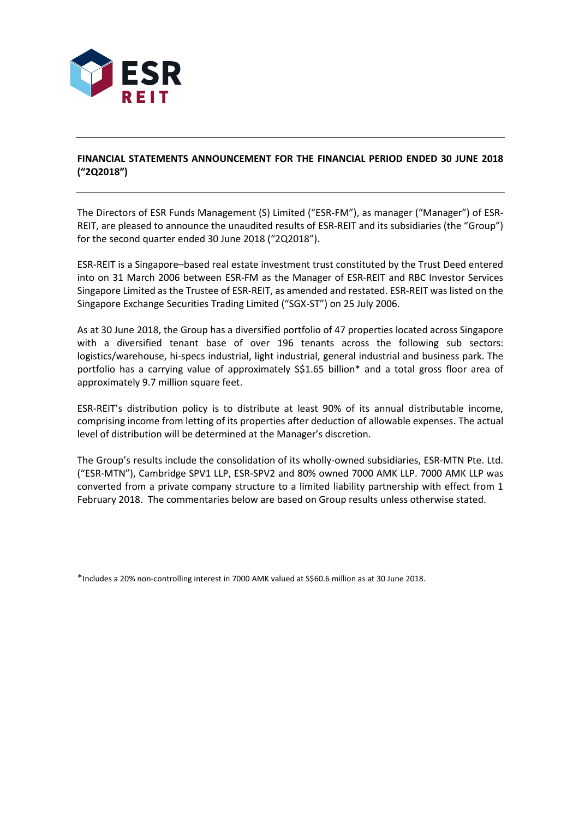

## **FINANCIAL STATEMENTS ANNOUNCEMENT FOR THE FINANCIAL PERIOD ENDED 30 JUNE 2018 ("2Q2018")**

The Directors of ESR Funds Management (S) Limited ("ESR-FM"), as manager ("Manager") of ESR-REIT, are pleased to announce the unaudited results of ESR-REIT and its subsidiaries (the "Group") for the second quarter ended 30 June 2018 ("2Q2018").

ESR-REIT is a Singapore–based real estate investment trust constituted by the Trust Deed entered into on 31 March 2006 between ESR-FM as the Manager of ESR-REIT and RBC Investor Services Singapore Limited as the Trustee of ESR-REIT, as amended and restated. ESR-REIT was listed on the Singapore Exchange Securities Trading Limited ("SGX-ST") on 25 July 2006.

As at 30 June 2018, the Group has a diversified portfolio of 47 properties located across Singapore with a diversified tenant base of over 196 tenants across the following sub sectors: logistics/warehouse, hi-specs industrial, light industrial, general industrial and business park. The portfolio has a carrying value of approximately S\$1.65 billion\* and a total gross floor area of approximately 9.7 million square feet.

ESR-REIT's distribution policy is to distribute at least 90% of its annual distributable income, comprising income from letting of its properties after deduction of allowable expenses. The actual level of distribution will be determined at the Manager's discretion.

The Group's results include the consolidation of its wholly-owned subsidiaries, ESR-MTN Pte. Ltd. ("ESR-MTN"), Cambridge SPV1 LLP, ESR-SPV2 and 80% owned 7000 AMK LLP. 7000 AMK LLP was converted from a private company structure to a limited liability partnership with effect from 1 February 2018. The commentaries below are based on Group results unless otherwise stated.

<sup>\*</sup>Includes a 20% non-controlling interest in 7000 AMK valued at S\$60.6 million as at 30 June 2018.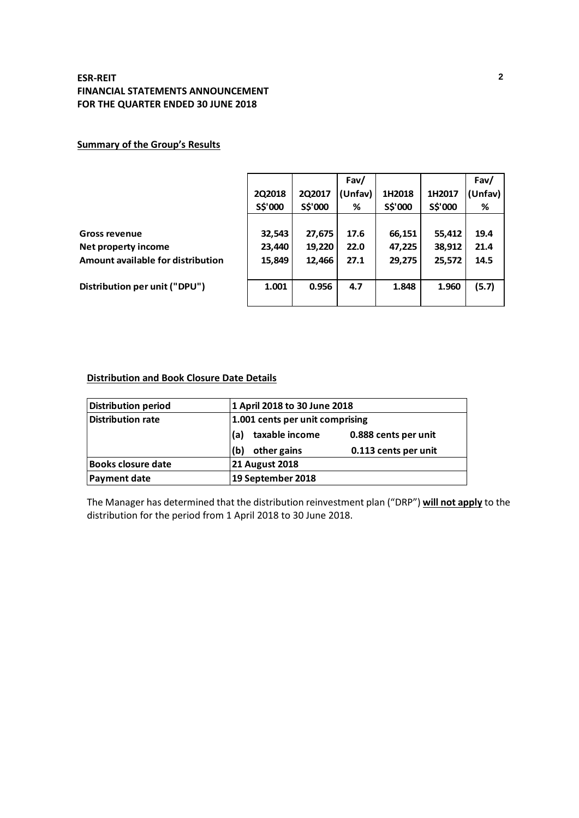# **Summary of the Group's Results**

|                                   |         |         | Fav/    |         |         | Fav/    |
|-----------------------------------|---------|---------|---------|---------|---------|---------|
|                                   | 2Q2018  | 2Q2017  | (Unfav) | 1H2018  | 1H2017  | (Unfav) |
|                                   | S\$'000 | S\$'000 | %       | S\$'000 | S\$'000 | %       |
|                                   |         |         |         |         |         |         |
| <b>Gross revenue</b>              | 32,543  | 27,675  | 17.6    | 66,151  | 55,412  | 19.4    |
| Net property income               | 23,440  | 19,220  | 22.0    | 47,225  | 38,912  | 21.4    |
| Amount available for distribution | 15,849  | 12,466  | 27.1    | 29,275  | 25,572  | 14.5    |
|                                   |         |         |         |         |         |         |
| Distribution per unit ("DPU")     | 1.001   | 0.956   | 4.7     | 1.848   | 1.960   | (5.7)   |
|                                   |         |         |         |         |         |         |

# **Distribution and Book Closure Date Details**

| <b>Distribution period</b> |                       | 1 April 2018 to 30 June 2018    |  |  |  |  |
|----------------------------|-----------------------|---------------------------------|--|--|--|--|
| <b>Distribution rate</b>   |                       | 1.001 cents per unit comprising |  |  |  |  |
|                            | taxable income<br>(a) | 0.888 cents per unit            |  |  |  |  |
|                            | (b)<br>other gains    | 0.113 cents per unit            |  |  |  |  |
| <b>Books closure date</b>  | <b>21 August 2018</b> |                                 |  |  |  |  |
| <b>Payment date</b>        | 19 September 2018     |                                 |  |  |  |  |

The Manager has determined that the distribution reinvestment plan ("DRP") **will not apply** to the distribution for the period from 1 April 2018 to 30 June 2018.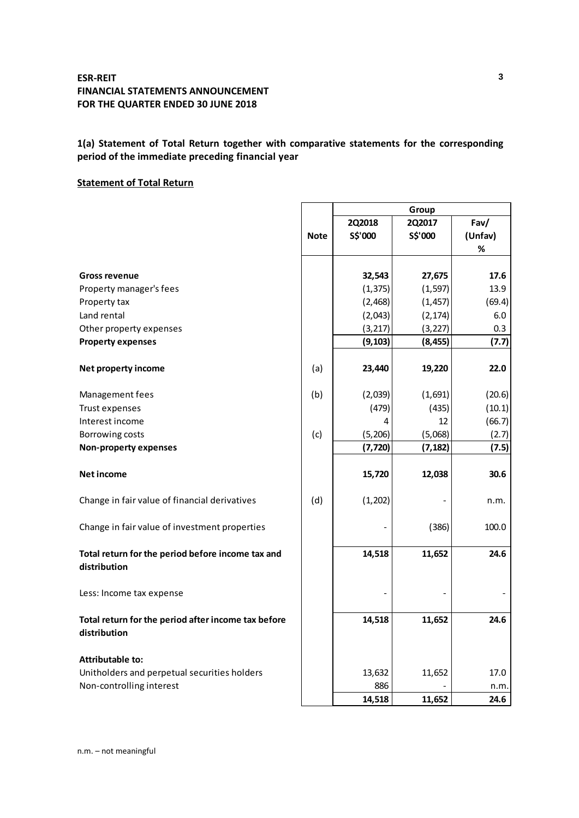# **1(a) Statement of Total Return together with comparative statements for the corresponding period of the immediate preceding financial year**

 $\mathbf{r}$ 

## **Statement of Total Return**

|                                                                     |             | 2Q2018   | 2Q2017   | Fav/    |
|---------------------------------------------------------------------|-------------|----------|----------|---------|
|                                                                     | <b>Note</b> | S\$'000  | S\$'000  | (Unfav) |
|                                                                     |             |          |          | %       |
|                                                                     |             |          |          |         |
| <b>Gross revenue</b>                                                |             | 32,543   | 27,675   | 17.6    |
| Property manager's fees                                             |             | (1, 375) | (1, 597) | 13.9    |
| Property tax                                                        |             | (2,468)  | (1, 457) | (69.4)  |
| Land rental                                                         |             | (2,043)  | (2, 174) | 6.0     |
| Other property expenses                                             |             | (3, 217) | (3, 227) | 0.3     |
| <b>Property expenses</b>                                            |             | (9, 103) | (8, 455) | (7.7)   |
| Net property income                                                 | (a)         | 23,440   | 19,220   | 22.0    |
| Management fees                                                     | (b)         | (2,039)  | (1,691)  | (20.6)  |
| Trust expenses                                                      |             | (479)    | (435)    | (10.1)  |
| Interest income                                                     |             | 4        | 12       | (66.7)  |
| Borrowing costs                                                     | (c)         | (5, 206) | (5,068)  | (2.7)   |
| <b>Non-property expenses</b>                                        |             | (7, 720) | (7, 182) | (7.5)   |
| Net income                                                          |             | 15,720   | 12,038   | 30.6    |
| Change in fair value of financial derivatives                       | (d)         | (1, 202) |          | n.m.    |
| Change in fair value of investment properties                       |             |          | (386)    | 100.0   |
| Total return for the period before income tax and<br>distribution   |             | 14,518   | 11,652   | 24.6    |
| Less: Income tax expense                                            |             |          |          |         |
| Total return for the period after income tax before<br>distribution |             | 14,518   | 11,652   | 24.6    |
| <b>Attributable to:</b>                                             |             |          |          |         |
| Unitholders and perpetual securities holders                        |             | 13,632   | 11,652   | 17.0    |
| Non-controlling interest                                            |             | 886      |          | n.m.    |
|                                                                     |             | 14,518   | 11,652   | 24.6    |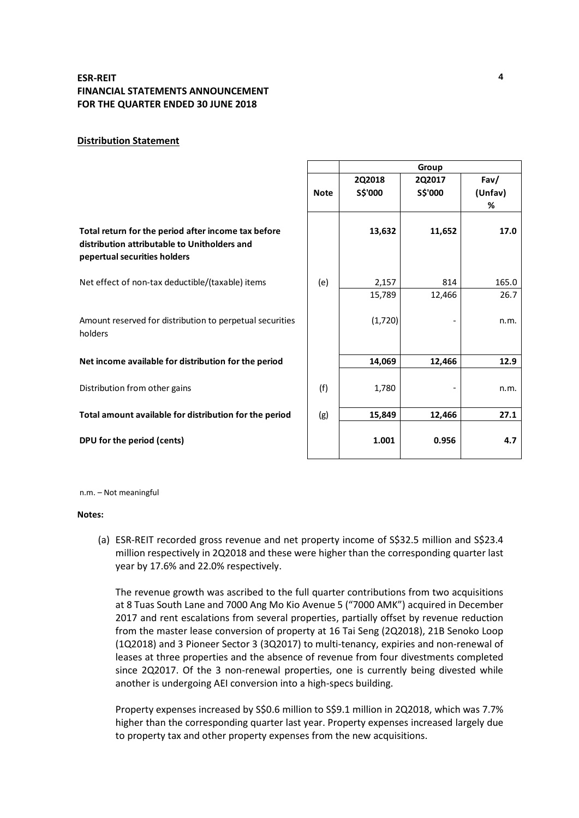### **Distribution Statement**

|                                                                                                                                     |             |                          | Group             |                      |
|-------------------------------------------------------------------------------------------------------------------------------------|-------------|--------------------------|-------------------|----------------------|
|                                                                                                                                     | <b>Note</b> | <b>2Q2018</b><br>S\$'000 | 2Q2017<br>S\$'000 | Fav/<br>(Unfav)<br>% |
| Total return for the period after income tax before<br>distribution attributable to Unitholders and<br>pepertual securities holders |             | 13,632                   | 11,652            | 17.0                 |
| Net effect of non-tax deductible/(taxable) items                                                                                    | (e)         | 2,157                    | 814               | 165.0                |
|                                                                                                                                     |             | 15,789                   | 12,466            | 26.7                 |
| Amount reserved for distribution to perpetual securities<br>holders                                                                 |             | (1,720)                  |                   | n.m.                 |
| Net income available for distribution for the period                                                                                |             | 14,069                   | 12,466            | 12.9                 |
| Distribution from other gains                                                                                                       | (f)         | 1,780                    |                   | n.m.                 |
| Total amount available for distribution for the period                                                                              | (g)         | 15,849                   | 12,466            | 27.1                 |
| DPU for the period (cents)                                                                                                          |             | 1.001                    | 0.956             | 4.7                  |

n.m. – Not meaningful

#### **Notes:**

(a) ESR-REIT recorded gross revenue and net property income of S\$32.5 million and S\$23.4 million respectively in 2Q2018 and these were higher than the corresponding quarter last year by 17.6% and 22.0% respectively.

The revenue growth was ascribed to the full quarter contributions from two acquisitions at 8 Tuas South Lane and 7000 Ang Mo Kio Avenue 5 ("7000 AMK") acquired in December 2017 and rent escalations from several properties, partially offset by revenue reduction from the master lease conversion of property at 16 Tai Seng (2Q2018), 21B Senoko Loop (1Q2018) and 3 Pioneer Sector 3 (3Q2017) to multi-tenancy, expiries and non-renewal of leases at three properties and the absence of revenue from four divestments completed since 2Q2017. Of the 3 non-renewal properties, one is currently being divested while another is undergoing AEI conversion into a high-specs building.

Property expenses increased by S\$0.6 million to S\$9.1 million in 2Q2018, which was 7.7% higher than the corresponding quarter last year. Property expenses increased largely due to property tax and other property expenses from the new acquisitions.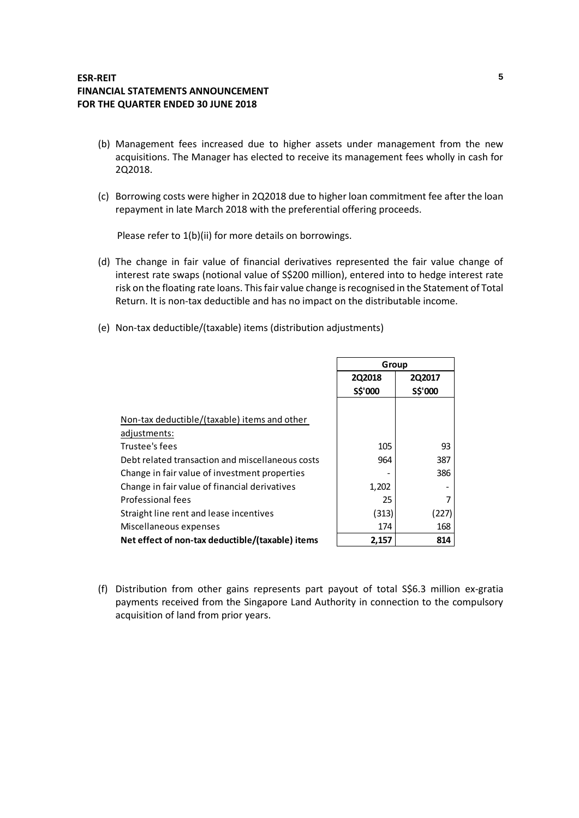- (b) Management fees increased due to higher assets under management from the new acquisitions. The Manager has elected to receive its management fees wholly in cash for 2Q2018.
- (c) Borrowing costs were higher in 2Q2018 due to higher loan commitment fee after the loan repayment in late March 2018 with the preferential offering proceeds.

Please refer to 1(b)(ii) for more details on borrowings.

- (d) The change in fair value of financial derivatives represented the fair value change of interest rate swaps (notional value of S\$200 million), entered into to hedge interest rate risk on the floating rate loans. This fair value change is recognised in the Statement of Total Return. It is non-tax deductible and has no impact on the distributable income.
- (e) Non-tax deductible/(taxable) items (distribution adjustments)

|                                                  | Group   |               |  |
|--------------------------------------------------|---------|---------------|--|
|                                                  | 2Q2018  | <b>2Q2017</b> |  |
|                                                  | S\$'000 | S\$'000       |  |
|                                                  |         |               |  |
| Non-tax deductible/(taxable) items and other     |         |               |  |
| adjustments:                                     |         |               |  |
| Trustee's fees                                   | 105     | 93            |  |
| Debt related transaction and miscellaneous costs | 964     | 387           |  |
| Change in fair value of investment properties    |         | 386           |  |
| Change in fair value of financial derivatives    | 1,202   |               |  |
| Professional fees                                | 25      |               |  |
| Straight line rent and lease incentives          | (313)   | 227]          |  |
| Miscellaneous expenses                           | 174     | 168           |  |
| Net effect of non-tax deductible/(taxable) items | 2,157   | 814           |  |

(f) Distribution from other gains represents part payout of total S\$6.3 million ex-gratia payments received from the Singapore Land Authority in connection to the compulsory acquisition of land from prior years.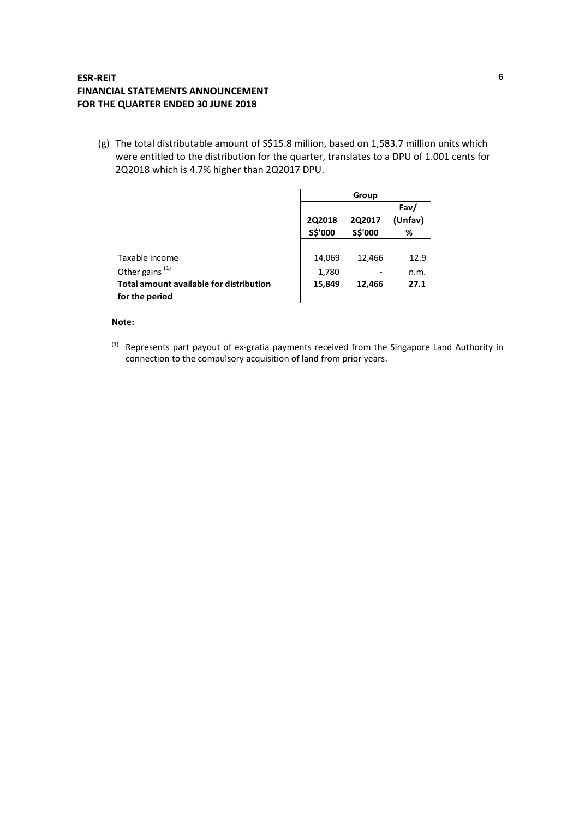(g) The total distributable amount of S\$15.8 million, based on 1,583.7 million units which were entitled to the distribution for the quarter, translates to a DPU of 1.001 cents for 2Q2018 which is 4.7% higher than 2Q2017 DPU.

|                                                           | Group                    |                          |                      |  |
|-----------------------------------------------------------|--------------------------|--------------------------|----------------------|--|
|                                                           | <b>2Q2018</b><br>S\$'000 | 2Q2017<br>S\$'000        | Fav/<br>(Unfav)<br>% |  |
|                                                           |                          |                          |                      |  |
| Taxable income                                            | 14,069                   | 12,466                   | 12.9                 |  |
| Other gains <sup>(1)</sup>                                | 1,780                    | $\overline{\phantom{0}}$ | n.m.                 |  |
| Total amount available for distribution<br>for the period | 15,849                   | 12,466                   | 27.1                 |  |

### **Note:**

(1) Represents part payout of ex-gratia payments received from the Singapore Land Authority in connection to the compulsory acquisition of land from prior years.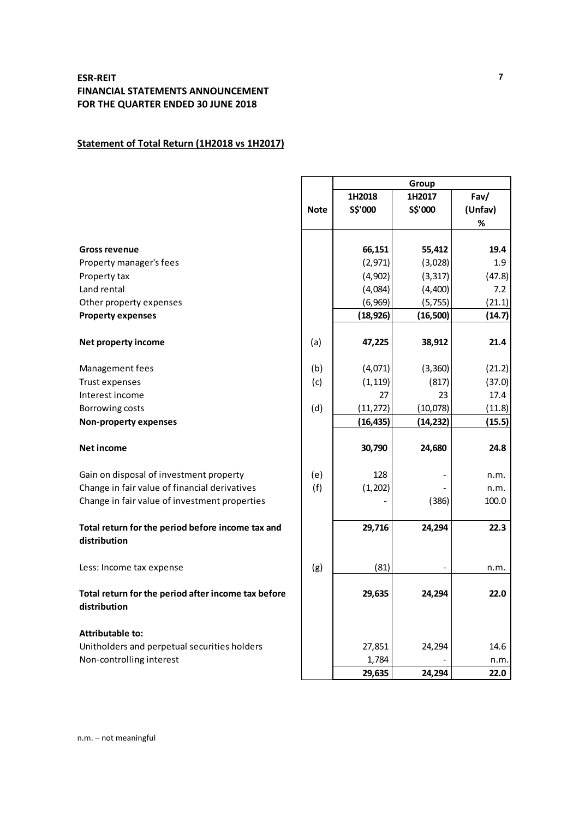# **Statement of Total Return (1H2018 vs 1H2017)**

|                                                                   |             | Group     |           |         |  |  |
|-------------------------------------------------------------------|-------------|-----------|-----------|---------|--|--|
|                                                                   |             | 1H2018    | 1H2017    | Fav/    |  |  |
|                                                                   | <b>Note</b> | S\$'000   | S\$'000   | (Unfav) |  |  |
|                                                                   |             |           |           | %       |  |  |
|                                                                   |             |           |           |         |  |  |
| <b>Gross revenue</b>                                              |             | 66,151    | 55,412    | 19.4    |  |  |
| Property manager's fees                                           |             | (2,971)   | (3,028)   | 1.9     |  |  |
| Property tax                                                      |             | (4,902)   | (3, 317)  | (47.8)  |  |  |
| Land rental                                                       |             | (4,084)   | (4,400)   | 7.2     |  |  |
| Other property expenses                                           |             | (6,969)   | (5, 755)  | (21.1)  |  |  |
| <b>Property expenses</b>                                          |             | (18, 926) | (16,500)  | (14.7)  |  |  |
|                                                                   |             |           |           |         |  |  |
| Net property income                                               | (a)         | 47,225    | 38,912    | 21.4    |  |  |
| Management fees                                                   | (b)         | (4,071)   | (3, 360)  | (21.2)  |  |  |
| Trust expenses                                                    | (c)         | (1, 119)  | (817)     | (37.0)  |  |  |
| Interest income                                                   |             | 27        | 23        | 17.4    |  |  |
| Borrowing costs                                                   | (d)         | (11, 272) | (10,078)  | (11.8)  |  |  |
| <b>Non-property expenses</b>                                      |             | (16, 435) | (14, 232) | (15.5)  |  |  |
|                                                                   |             |           |           |         |  |  |
| <b>Net income</b>                                                 |             | 30,790    | 24,680    | 24.8    |  |  |
| Gain on disposal of investment property                           | (e)         | 128       |           | n.m.    |  |  |
| Change in fair value of financial derivatives                     | (f)         | (1, 202)  |           | n.m.    |  |  |
| Change in fair value of investment properties                     |             |           | (386)     | 100.0   |  |  |
|                                                                   |             |           |           |         |  |  |
| Total return for the period before income tax and<br>distribution |             | 29,716    | 24,294    | 22.3    |  |  |
|                                                                   |             |           |           |         |  |  |
| Less: Income tax expense                                          | (g)         | (81)      |           | n.m.    |  |  |
|                                                                   |             |           |           |         |  |  |
| Total return for the period after income tax before               |             | 29,635    | 24,294    | 22.0    |  |  |
| distribution                                                      |             |           |           |         |  |  |
| <b>Attributable to:</b>                                           |             |           |           |         |  |  |
| Unitholders and perpetual securities holders                      |             | 27,851    | 24,294    | 14.6    |  |  |
| Non-controlling interest                                          |             | 1,784     |           | n.m.    |  |  |
|                                                                   |             | 29,635    | 24,294    | 22.0    |  |  |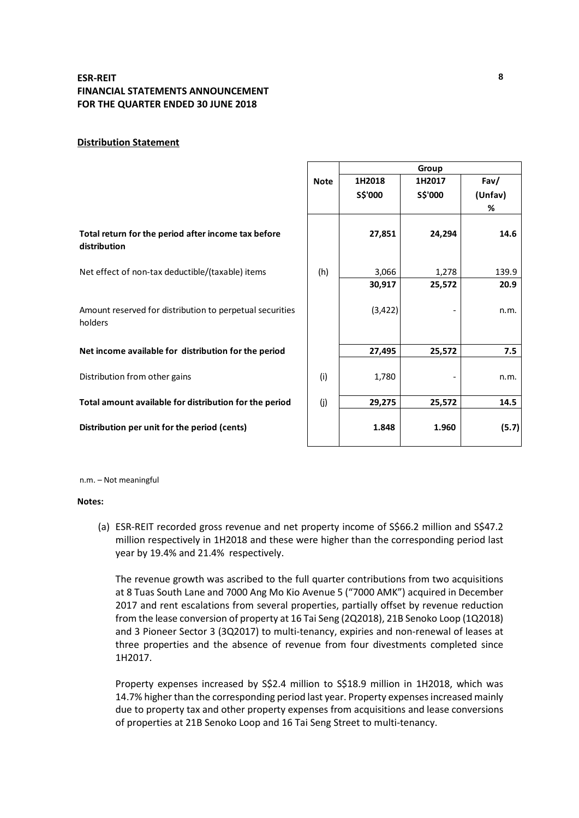### **Distribution Statement**

|                                                                     |             | Group             |                   |                      |  |
|---------------------------------------------------------------------|-------------|-------------------|-------------------|----------------------|--|
|                                                                     | <b>Note</b> | 1H2018<br>S\$'000 | 1H2017<br>S\$'000 | Fav/<br>(Unfav)<br>% |  |
| Total return for the period after income tax before<br>distribution |             | 27,851            | 24,294            | 14.6                 |  |
| Net effect of non-tax deductible/(taxable) items                    | (h)         | 3,066             | 1,278             | 139.9                |  |
|                                                                     |             | 30,917            | 25,572            | 20.9                 |  |
| Amount reserved for distribution to perpetual securities<br>holders |             | (3, 422)          |                   | n.m.                 |  |
| Net income available for distribution for the period                |             | 27,495            | 25,572            | 7.5                  |  |
| Distribution from other gains                                       | (i)         | 1,780             |                   | n.m.                 |  |
| Total amount available for distribution for the period              | (i)         | 29,275            | 25,572            | 14.5                 |  |
| Distribution per unit for the period (cents)                        |             | 1.848             | 1.960             | (5.7)                |  |

n.m. – Not meaningful

#### **Notes:**

(a) ESR-REIT recorded gross revenue and net property income of S\$66.2 million and S\$47.2 million respectively in 1H2018 and these were higher than the corresponding period last year by 19.4% and 21.4% respectively.

The revenue growth was ascribed to the full quarter contributions from two acquisitions at 8 Tuas South Lane and 7000 Ang Mo Kio Avenue 5 ("7000 AMK") acquired in December 2017 and rent escalations from several properties, partially offset by revenue reduction from the lease conversion of property at 16 Tai Seng (2Q2018), 21B Senoko Loop (1Q2018) and 3 Pioneer Sector 3 (3Q2017) to multi-tenancy, expiries and non-renewal of leases at three properties and the absence of revenue from four divestments completed since 1H2017.

Property expenses increased by S\$2.4 million to S\$18.9 million in 1H2018, which was 14.7% higher than the corresponding period last year. Property expenses increased mainly due to property tax and other property expenses from acquisitions and lease conversions of properties at 21B Senoko Loop and 16 Tai Seng Street to multi-tenancy.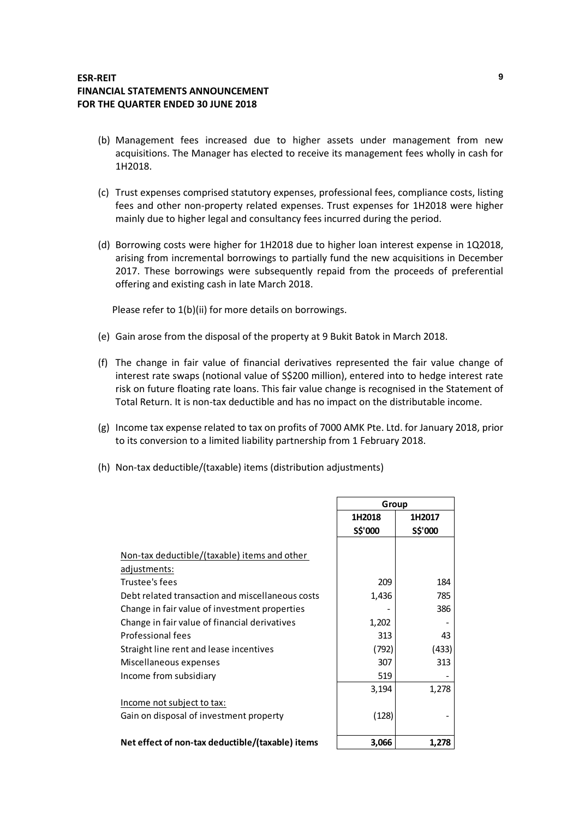- (b) Management fees increased due to higher assets under management from new acquisitions. The Manager has elected to receive its management fees wholly in cash for 1H2018.
- (c) Trust expenses comprised statutory expenses, professional fees, compliance costs, listing fees and other non-property related expenses. Trust expenses for 1H2018 were higher mainly due to higher legal and consultancy fees incurred during the period.
- (d) Borrowing costs were higher for 1H2018 due to higher loan interest expense in 1Q2018, arising from incremental borrowings to partially fund the new acquisitions in December 2017. These borrowings were subsequently repaid from the proceeds of preferential offering and existing cash in late March 2018.

Please refer to 1(b)(ii) for more details on borrowings.

- (e) Gain arose from the disposal of the property at 9 Bukit Batok in March 2018.
- (f) The change in fair value of financial derivatives represented the fair value change of interest rate swaps (notional value of S\$200 million), entered into to hedge interest rate risk on future floating rate loans. This fair value change is recognised in the Statement of Total Return. It is non-tax deductible and has no impact on the distributable income.
- (g) Income tax expense related to tax on profits of 7000 AMK Pte. Ltd. for January 2018, prior to its conversion to a limited liability partnership from 1 February 2018.
- (h) Non-tax deductible/(taxable) items (distribution adjustments)

|                                                  | Group   |         |  |
|--------------------------------------------------|---------|---------|--|
|                                                  | 1H2018  | 1H2017  |  |
|                                                  | S\$'000 | S\$'000 |  |
|                                                  |         |         |  |
| Non-tax deductible/(taxable) items and other     |         |         |  |
| adjustments:                                     |         |         |  |
| Trustee's fees                                   | 209     | 184     |  |
| Debt related transaction and miscellaneous costs | 1,436   | 785     |  |
| Change in fair value of investment properties    |         | 386     |  |
| Change in fair value of financial derivatives    | 1,202   |         |  |
| Professional fees                                | 313     | 43      |  |
| Straight line rent and lease incentives          | (792)   | (433)   |  |
| Miscellaneous expenses                           | 307     | 313     |  |
| Income from subsidiary                           | 519     |         |  |
|                                                  | 3,194   | 1,278   |  |
| Income not subject to tax:                       |         |         |  |
| Gain on disposal of investment property          | (128)   |         |  |
|                                                  |         |         |  |
| Net effect of non-tax deductible/(taxable) items | 3,066   | 1,278   |  |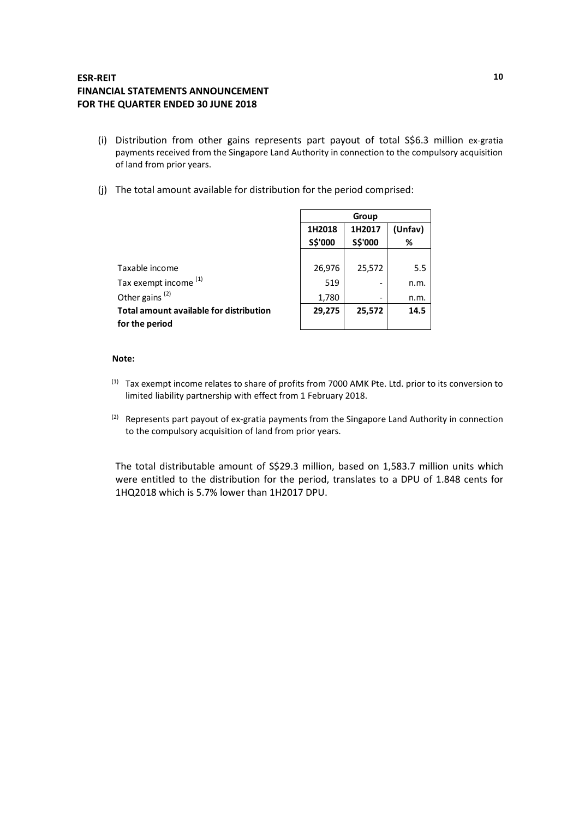- (i) Distribution from other gains represents part payout of total S\$6.3 million ex-gratia payments received from the Singapore Land Authority in connection to the compulsory acquisition of land from prior years.
- (j) The total amount available for distribution for the period comprised:

|                                                | Group   |         |         |  |  |
|------------------------------------------------|---------|---------|---------|--|--|
|                                                | 1H2018  | 1H2017  | (Unfav) |  |  |
|                                                | S\$'000 | S\$'000 | %       |  |  |
|                                                |         |         |         |  |  |
| Taxable income                                 | 26,976  | 25,572  | 5.5     |  |  |
| Tax exempt income <sup>(1)</sup>               | 519     |         | n.m.    |  |  |
| Other gains <sup>(2)</sup>                     | 1,780   | -       | n.m.    |  |  |
| <b>Total amount available for distribution</b> | 29,275  | 25,572  | 14.5    |  |  |
| for the period                                 |         |         |         |  |  |

### **Note:**

- (1) Tax exempt income relates to share of profits from 7000 AMK Pte. Ltd. prior to its conversion to limited liability partnership with effect from 1 February 2018.
- <sup>(2)</sup> Represents part payout of ex-gratia payments from the Singapore Land Authority in connection to the compulsory acquisition of land from prior years.

The total distributable amount of S\$29.3 million, based on 1,583.7 million units which were entitled to the distribution for the period, translates to a DPU of 1.848 cents for 1HQ2018 which is 5.7% lower than 1H2017 DPU.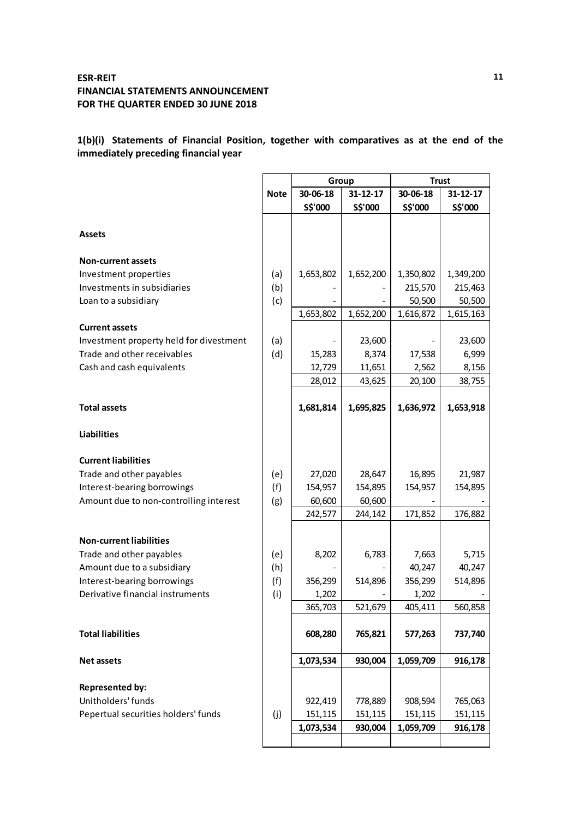**1(b)(i) Statements of Financial Position, together with comparatives as at the end of the immediately preceding financial year**

|                                         |             | Group     |                | <b>Trust</b> |                |  |
|-----------------------------------------|-------------|-----------|----------------|--------------|----------------|--|
|                                         | <b>Note</b> | 30-06-18  | $31 - 12 - 17$ | 30-06-18     | $31 - 12 - 17$ |  |
|                                         |             | S\$'000   | S\$'000        | S\$'000      | S\$'000        |  |
| <b>Assets</b>                           |             |           |                |              |                |  |
| <b>Non-current assets</b>               |             |           |                |              |                |  |
| Investment properties                   | (a)         | 1,653,802 | 1,652,200      | 1,350,802    | 1,349,200      |  |
| Investments in subsidiaries             | (b)         |           |                | 215,570      | 215,463        |  |
| Loan to a subsidiary                    | (c)         |           |                | 50,500       | 50,500         |  |
|                                         |             | 1,653,802 | 1,652,200      | 1,616,872    | 1,615,163      |  |
| <b>Current assets</b>                   |             |           |                |              |                |  |
| Investment property held for divestment | (a)         |           | 23,600         |              | 23,600         |  |
| Trade and other receivables             | (d)         | 15,283    | 8,374          | 17,538       | 6,999          |  |
| Cash and cash equivalents               |             | 12,729    | 11,651         | 2,562        | 8,156          |  |
|                                         |             | 28,012    | 43,625         | 20,100       | 38,755         |  |
| <b>Total assets</b>                     |             | 1,681,814 | 1,695,825      | 1,636,972    | 1,653,918      |  |
|                                         |             |           |                |              |                |  |
| <b>Liabilities</b>                      |             |           |                |              |                |  |
| <b>Current liabilities</b>              |             |           |                |              |                |  |
| Trade and other payables                | (e)         | 27,020    | 28,647         | 16,895       | 21,987         |  |
| Interest-bearing borrowings             | (f)         | 154,957   | 154,895        | 154,957      | 154,895        |  |
| Amount due to non-controlling interest  | (g)         | 60,600    | 60,600         |              |                |  |
|                                         |             | 242,577   | 244,142        | 171,852      | 176,882        |  |
| <b>Non-current liabilities</b>          |             |           |                |              |                |  |
| Trade and other payables                | (e)         | 8,202     | 6,783          | 7,663        | 5,715          |  |
| Amount due to a subsidiary              | (h)         |           |                | 40,247       | 40,247         |  |
| Interest-bearing borrowings             | (f)         | 356,299   | 514,896        | 356,299      | 514,896        |  |
| Derivative financial instruments        | (i)         | 1,202     |                | 1,202        |                |  |
|                                         |             | 365,703   | 521,679        | 405,411      | 560,858        |  |
| <b>Total liabilities</b>                |             | 608,280   | 765,821        | 577,263      | 737,740        |  |
| <b>Net assets</b>                       |             | 1,073,534 | 930,004        | 1,059,709    | 916,178        |  |
|                                         |             |           |                |              |                |  |
| Represented by:                         |             |           |                |              |                |  |
| Unitholders' funds                      |             | 922,419   | 778,889        | 908,594      | 765,063        |  |
| Pepertual securities holders' funds     | (j)         | 151,115   | 151,115        | 151,115      | 151,115        |  |
|                                         |             | 1,073,534 | 930,004        | 1,059,709    | 916,178        |  |
|                                         |             |           |                |              |                |  |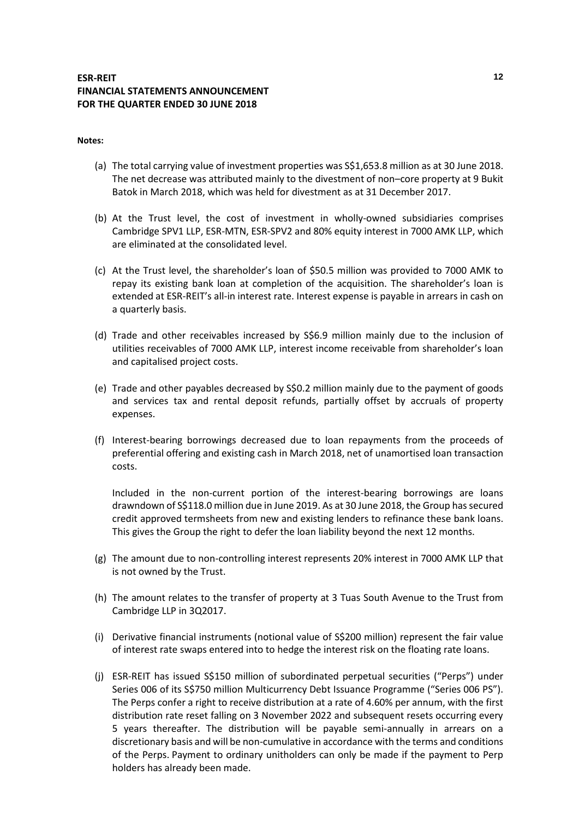### **Notes:**

- (a) The total carrying value of investment properties was S\$1,653.8 million as at 30 June 2018. The net decrease was attributed mainly to the divestment of non–core property at 9 Bukit Batok in March 2018, which was held for divestment as at 31 December 2017.
- (b) At the Trust level, the cost of investment in wholly-owned subsidiaries comprises Cambridge SPV1 LLP, ESR-MTN, ESR-SPV2 and 80% equity interest in 7000 AMK LLP, which are eliminated at the consolidated level.
- (c) At the Trust level, the shareholder's loan of \$50.5 million was provided to 7000 AMK to repay its existing bank loan at completion of the acquisition. The shareholder's loan is extended at ESR-REIT's all-in interest rate. Interest expense is payable in arrears in cash on a quarterly basis.
- (d) Trade and other receivables increased by S\$6.9 million mainly due to the inclusion of utilities receivables of 7000 AMK LLP, interest income receivable from shareholder's loan and capitalised project costs.
- (e) Trade and other payables decreased by S\$0.2 million mainly due to the payment of goods and services tax and rental deposit refunds, partially offset by accruals of property expenses.
- (f) Interest-bearing borrowings decreased due to loan repayments from the proceeds of preferential offering and existing cash in March 2018, net of unamortised loan transaction costs.

Included in the non-current portion of the interest-bearing borrowings are loans drawndown of S\$118.0 million due in June 2019. As at 30 June 2018, the Group has secured credit approved termsheets from new and existing lenders to refinance these bank loans. This gives the Group the right to defer the loan liability beyond the next 12 months.

- (g) The amount due to non-controlling interest represents 20% interest in 7000 AMK LLP that is not owned by the Trust.
- (h) The amount relates to the transfer of property at 3 Tuas South Avenue to the Trust from Cambridge LLP in 3Q2017.
- (i) Derivative financial instruments (notional value of S\$200 million) represent the fair value of interest rate swaps entered into to hedge the interest risk on the floating rate loans.
- (j) ESR-REIT has issued S\$150 million of subordinated perpetual securities ("Perps") under Series 006 of its S\$750 million Multicurrency Debt Issuance Programme ("Series 006 PS"). The Perps confer a right to receive distribution at a rate of 4.60% per annum, with the first distribution rate reset falling on 3 November 2022 and subsequent resets occurring every 5 years thereafter. The distribution will be payable semi-annually in arrears on a discretionary basis and will be non-cumulative in accordance with the terms and conditions of the Perps. Payment to ordinary unitholders can only be made if the payment to Perp holders has already been made.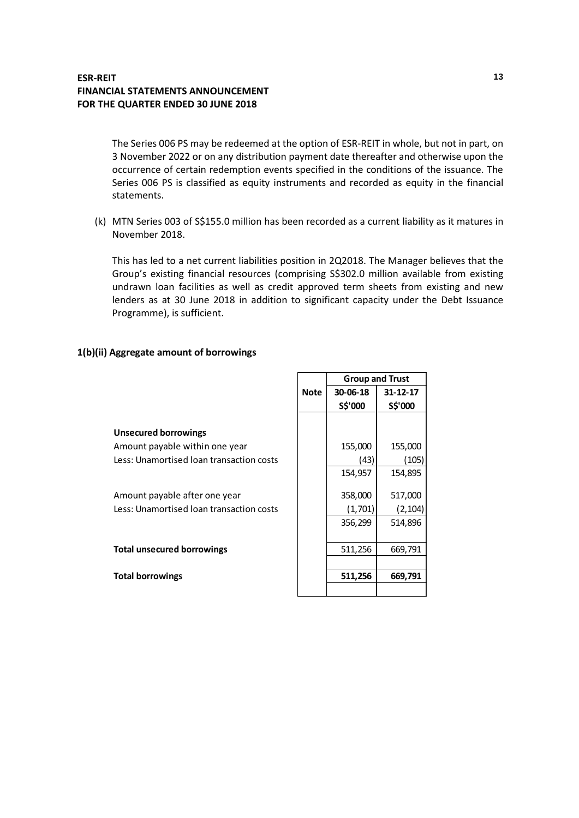The Series 006 PS may be redeemed at the option of ESR-REIT in whole, but not in part, on 3 November 2022 or on any distribution payment date thereafter and otherwise upon the occurrence of certain redemption events specified in the conditions of the issuance. The Series 006 PS is classified as equity instruments and recorded as equity in the financial statements.

(k) MTN Series 003 of S\$155.0 million has been recorded as a current liability as it matures in November 2018.

This has led to a net current liabilities position in 2Q2018. The Manager believes that the Group's existing financial resources (comprising S\$302.0 million available from existing undrawn loan facilities as well as credit approved term sheets from existing and new lenders as at 30 June 2018 in addition to significant capacity under the Debt Issuance Programme), is sufficient.

Г

### **1(b)(ii) Aggregate amount of borrowings**

|                                          |             | <b>Group and Trust</b> |                |  |
|------------------------------------------|-------------|------------------------|----------------|--|
|                                          | <b>Note</b> | 30-06-18               | $31 - 12 - 17$ |  |
|                                          |             | S\$'000                | S\$'000        |  |
|                                          |             |                        |                |  |
| <b>Unsecured borrowings</b>              |             |                        |                |  |
| Amount payable within one year           |             | 155,000                | 155,000        |  |
| Less: Unamortised loan transaction costs |             | (43)                   | (105)          |  |
|                                          |             | 154,957                | 154,895        |  |
|                                          |             |                        |                |  |
| Amount payable after one year            |             | 358,000                | 517,000        |  |
| Less: Unamortised loan transaction costs |             | (1,701)                | (2, 104)       |  |
|                                          |             | 356,299                | 514,896        |  |
|                                          |             |                        |                |  |
| <b>Total unsecured borrowings</b>        |             | 511,256                | 669,791        |  |
|                                          |             |                        |                |  |
| <b>Total borrowings</b>                  |             | 511,256                | 669,791        |  |
|                                          |             |                        |                |  |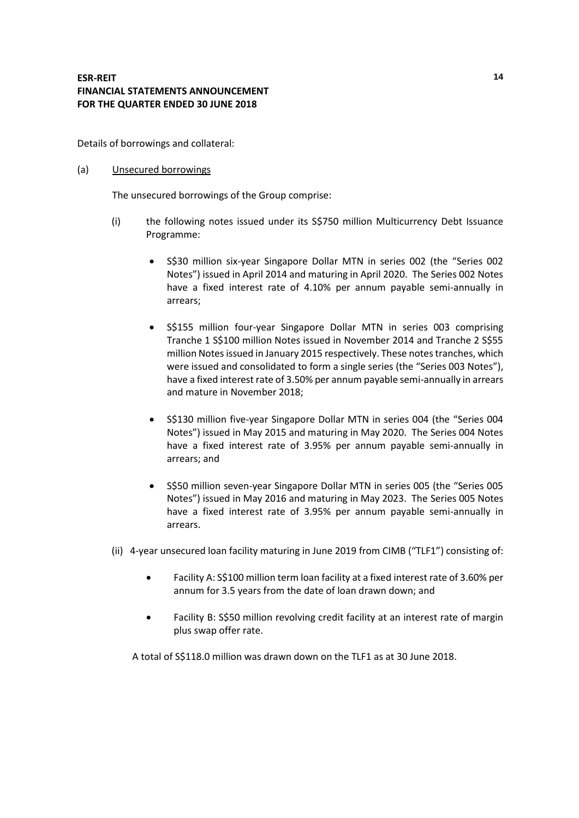Details of borrowings and collateral:

### (a) Unsecured borrowings

The unsecured borrowings of the Group comprise:

- (i) the following notes issued under its S\$750 million Multicurrency Debt Issuance Programme:
	- S\$30 million six-year Singapore Dollar MTN in series 002 (the "Series 002 Notes") issued in April 2014 and maturing in April 2020. The Series 002 Notes have a fixed interest rate of 4.10% per annum payable semi-annually in arrears;
	- S\$155 million four-year Singapore Dollar MTN in series 003 comprising Tranche 1 S\$100 million Notes issued in November 2014 and Tranche 2 S\$55 million Notes issued in January 2015 respectively. These notes tranches, which were issued and consolidated to form a single series (the "Series 003 Notes"), have a fixed interest rate of 3.50% per annum payable semi-annually in arrears and mature in November 2018;
	- S\$130 million five-year Singapore Dollar MTN in series 004 (the "Series 004 Notes") issued in May 2015 and maturing in May 2020. The Series 004 Notes have a fixed interest rate of 3.95% per annum payable semi-annually in arrears; and
	- S\$50 million seven-year Singapore Dollar MTN in series 005 (the "Series 005 Notes") issued in May 2016 and maturing in May 2023. The Series 005 Notes have a fixed interest rate of 3.95% per annum payable semi-annually in arrears.
- (ii) 4-year unsecured loan facility maturing in June 2019 from CIMB ("TLF1") consisting of:
	- Facility A: S\$100 million term loan facility at a fixed interest rate of 3.60% per annum for 3.5 years from the date of loan drawn down; and
	- Facility B: S\$50 million revolving credit facility at an interest rate of margin plus swap offer rate.

A total of S\$118.0 million was drawn down on the TLF1 as at 30 June 2018.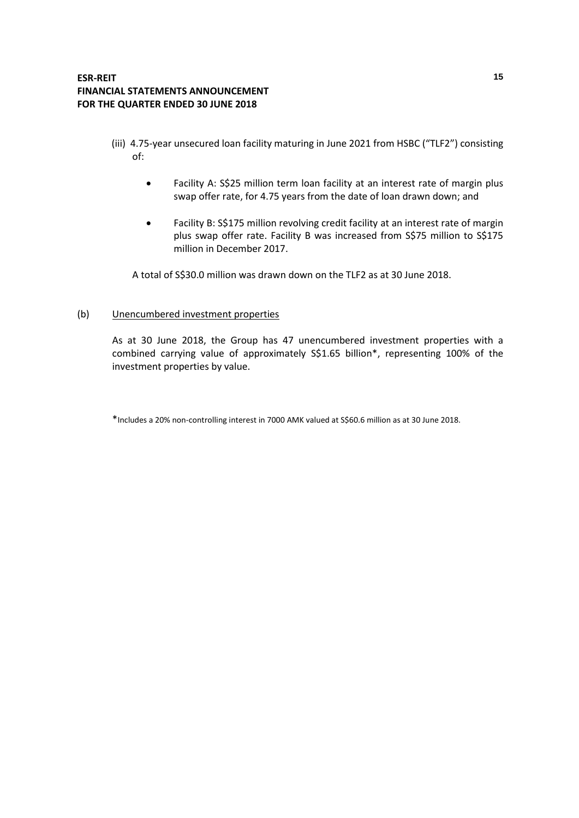- (iii) 4.75-year unsecured loan facility maturing in June 2021 from HSBC ("TLF2") consisting of:
	- Facility A: S\$25 million term loan facility at an interest rate of margin plus swap offer rate, for 4.75 years from the date of loan drawn down; and
	- Facility B: S\$175 million revolving credit facility at an interest rate of margin plus swap offer rate. Facility B was increased from S\$75 million to S\$175 million in December 2017.

A total of S\$30.0 million was drawn down on the TLF2 as at 30 June 2018.

### (b) Unencumbered investment properties

As at 30 June 2018, the Group has 47 unencumbered investment properties with a combined carrying value of approximately S\$1.65 billion\*, representing 100% of the investment properties by value.

\*Includes a 20% non-controlling interest in 7000 AMK valued at S\$60.6 million as at 30 June 2018.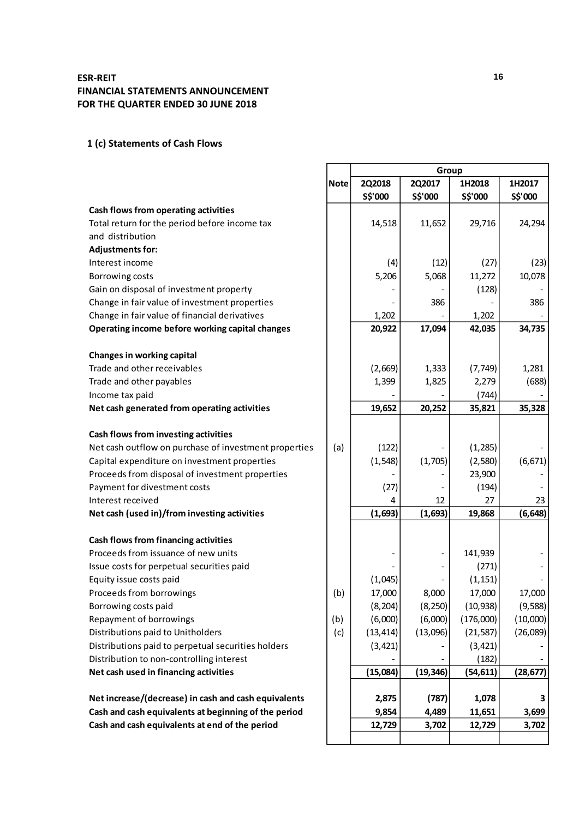# **1 (c) Statements of Cash Flows**

|                                                       |             | Group     |           |           |           |
|-------------------------------------------------------|-------------|-----------|-----------|-----------|-----------|
|                                                       | <b>Note</b> | 2Q2018    | 2Q2017    | 1H2018    | 1H2017    |
|                                                       |             | S\$'000   | S\$'000   | S\$'000   | S\$'000   |
| Cash flows from operating activities                  |             |           |           |           |           |
| Total return for the period before income tax         |             | 14,518    | 11,652    | 29,716    | 24,294    |
| and distribution                                      |             |           |           |           |           |
| <b>Adjustments for:</b>                               |             |           |           |           |           |
| Interest income                                       |             | (4)       | (12)      | (27)      | (23)      |
| Borrowing costs                                       |             | 5,206     | 5,068     | 11,272    | 10,078    |
| Gain on disposal of investment property               |             |           |           | (128)     |           |
| Change in fair value of investment properties         |             |           | 386       |           | 386       |
| Change in fair value of financial derivatives         |             | 1,202     |           | 1,202     |           |
| Operating income before working capital changes       |             | 20,922    | 17,094    | 42,035    | 34,735    |
| Changes in working capital                            |             |           |           |           |           |
| Trade and other receivables                           |             | (2,669)   | 1,333     | (7, 749)  | 1,281     |
| Trade and other payables                              |             | 1,399     | 1,825     | 2,279     | (688)     |
| Income tax paid                                       |             |           |           | (744)     |           |
| Net cash generated from operating activities          |             | 19,652    | 20,252    | 35,821    | 35,328    |
| Cash flows from investing activities                  |             |           |           |           |           |
| Net cash outflow on purchase of investment properties | (a)         | (122)     |           | (1, 285)  |           |
| Capital expenditure on investment properties          |             | (1, 548)  | (1,705)   | (2,580)   | (6, 671)  |
| Proceeds from disposal of investment properties       |             |           |           | 23,900    |           |
| Payment for divestment costs                          |             | (27)      |           | (194)     |           |
| Interest received                                     |             | 4         | 12        | 27        | 23        |
| Net cash (used in)/from investing activities          |             | (1,693)   | (1,693)   | 19,868    | (6, 648)  |
| Cash flows from financing activities                  |             |           |           |           |           |
| Proceeds from issuance of new units                   |             |           |           | 141,939   |           |
| Issue costs for perpetual securities paid             |             |           |           | (271)     |           |
| Equity issue costs paid                               |             | (1,045)   |           | (1, 151)  |           |
| Proceeds from borrowings                              | (b)         | 17,000    | 8,000     | 17,000    | 17,000    |
| Borrowing costs paid                                  |             | (8, 204)  | (8, 250)  | (10, 938) | (9,588)   |
| Repayment of borrowings                               | (b)         | (6,000)   | (6,000)   | (176,000) | (10,000)  |
| Distributions paid to Unitholders                     | (c)         | (13, 414) | (13,096)  | (21, 587) | (26,089)  |
| Distributions paid to perpetual securities holders    |             | (3, 421)  |           | (3, 421)  |           |
| Distribution to non-controlling interest              |             |           |           | (182)     |           |
| Net cash used in financing activities                 |             | (15,084)  | (19, 346) | (54, 611) | (28, 677) |
|                                                       |             |           |           |           |           |
| Net increase/(decrease) in cash and cash equivalents  |             | 2,875     | (787)     | 1,078     |           |
| Cash and cash equivalents at beginning of the period  |             | 9,854     | 4,489     | 11,651    | 3,699     |
| Cash and cash equivalents at end of the period        |             | 12,729    | 3,702     | 12,729    | 3,702     |
|                                                       |             |           |           |           |           |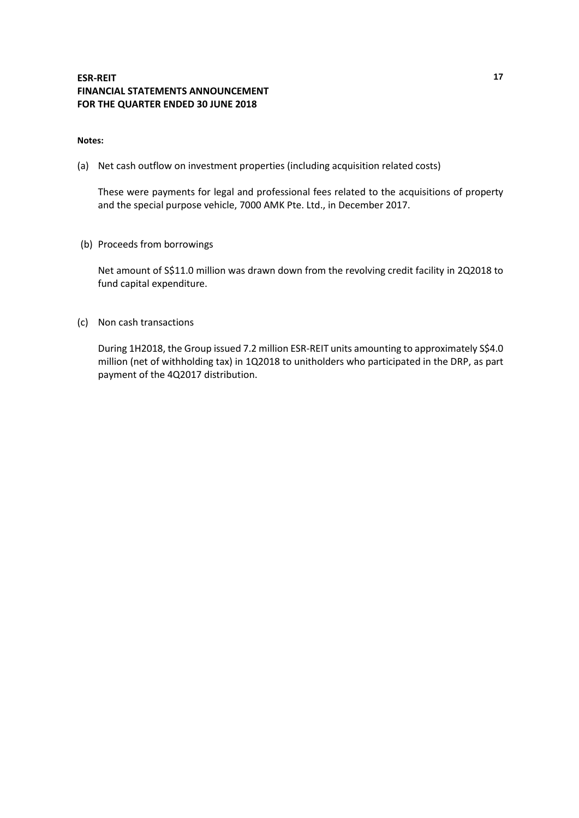### **Notes:**

(a) Net cash outflow on investment properties (including acquisition related costs)

These were payments for legal and professional fees related to the acquisitions of property and the special purpose vehicle, 7000 AMK Pte. Ltd., in December 2017.

(b) Proceeds from borrowings

Net amount of S\$11.0 million was drawn down from the revolving credit facility in 2Q2018 to fund capital expenditure.

(c) Non cash transactions

During 1H2018, the Group issued 7.2 million ESR-REIT units amounting to approximately S\$4.0 million (net of withholding tax) in 1Q2018 to unitholders who participated in the DRP, as part payment of the 4Q2017 distribution.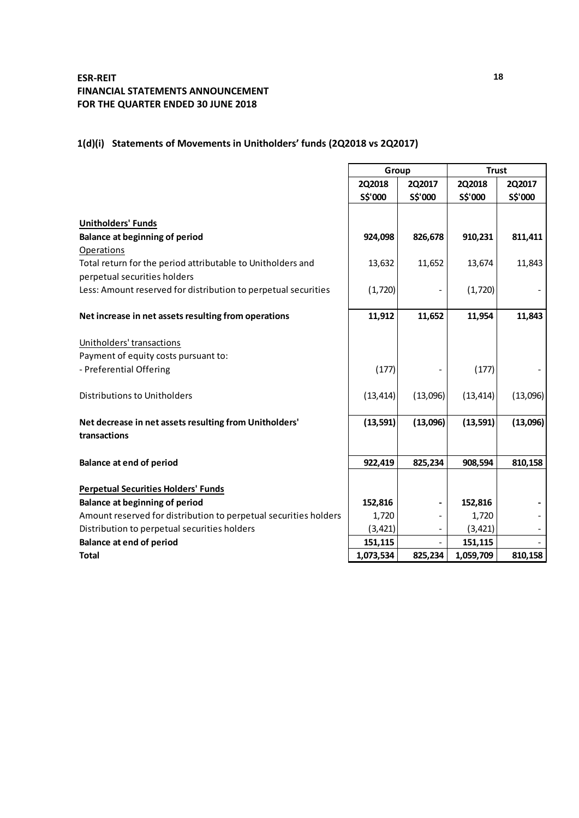# **1(d)(i) Statements of Movements in Unitholders' funds (2Q2018 vs 2Q2017)**

|                                                                  | Group         |          | <b>Trust</b> |          |
|------------------------------------------------------------------|---------------|----------|--------------|----------|
|                                                                  | <b>2Q2018</b> | 2Q2017   | 2Q2018       | 2Q2017   |
|                                                                  | S\$'000       | S\$'000  | S\$'000      | S\$'000  |
|                                                                  |               |          |              |          |
| <b>Unitholders' Funds</b>                                        |               |          |              |          |
| <b>Balance at beginning of period</b>                            | 924,098       | 826,678  | 910,231      | 811,411  |
| Operations                                                       |               |          |              |          |
| Total return for the period attributable to Unitholders and      | 13,632        | 11,652   | 13,674       | 11,843   |
| perpetual securities holders                                     |               |          |              |          |
| Less: Amount reserved for distribution to perpetual securities   | (1, 720)      |          | (1, 720)     |          |
| Net increase in net assets resulting from operations             | 11,912        | 11,652   | 11,954       | 11,843   |
| Unitholders' transactions                                        |               |          |              |          |
| Payment of equity costs pursuant to:                             |               |          |              |          |
| - Preferential Offering                                          | (177)         |          | (177)        |          |
| <b>Distributions to Unitholders</b>                              | (13, 414)     | (13,096) | (13, 414)    | (13,096) |
| Net decrease in net assets resulting from Unitholders'           | (13, 591)     | (13,096) | (13, 591)    | (13,096) |
| transactions                                                     |               |          |              |          |
| <b>Balance at end of period</b>                                  | 922,419       | 825,234  | 908,594      | 810,158  |
| <b>Perpetual Securities Holders' Funds</b>                       |               |          |              |          |
| <b>Balance at beginning of period</b>                            | 152,816       |          | 152,816      |          |
| Amount reserved for distribution to perpetual securities holders | 1,720         |          | 1,720        |          |
| Distribution to perpetual securities holders                     | (3, 421)      |          | (3, 421)     |          |
| <b>Balance at end of period</b>                                  | 151,115       |          | 151,115      |          |
| <b>Total</b>                                                     | 1,073,534     | 825,234  | 1,059,709    | 810,158  |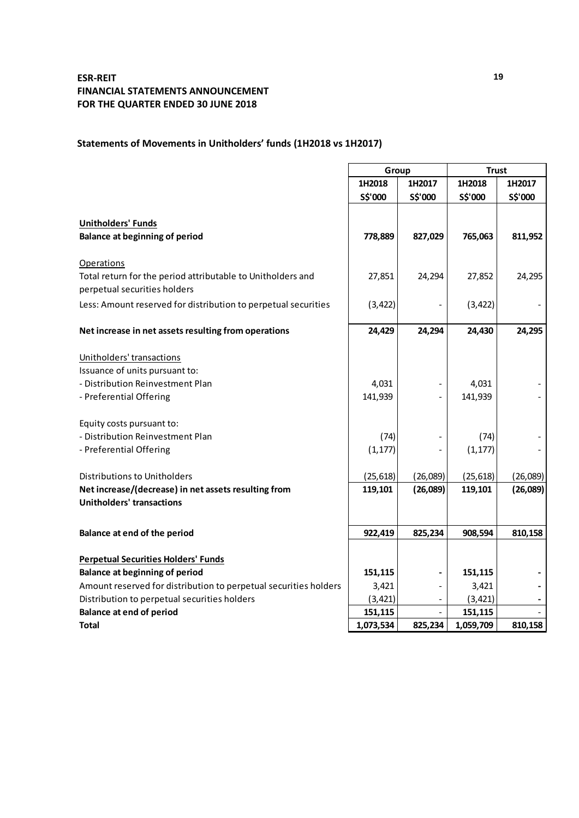# **Statements of Movements in Unitholders' funds (1H2018 vs 1H2017)**

|                                                                  | Group            |          | <b>Trust</b>     |          |
|------------------------------------------------------------------|------------------|----------|------------------|----------|
|                                                                  | 1H2017<br>1H2018 |          | 1H2018<br>1H2017 |          |
|                                                                  | S\$'000          | S\$'000  | S\$'000          | S\$'000  |
|                                                                  |                  |          |                  |          |
| <b>Unitholders' Funds</b>                                        |                  |          |                  |          |
| <b>Balance at beginning of period</b>                            | 778,889          | 827,029  | 765,063          | 811,952  |
|                                                                  |                  |          |                  |          |
| <b>Operations</b>                                                |                  |          |                  |          |
| Total return for the period attributable to Unitholders and      | 27,851           | 24,294   | 27,852           | 24,295   |
| perpetual securities holders                                     |                  |          |                  |          |
| Less: Amount reserved for distribution to perpetual securities   | (3, 422)         |          | (3, 422)         |          |
| Net increase in net assets resulting from operations             | 24,429           | 24,294   | 24,430           | 24,295   |
|                                                                  |                  |          |                  |          |
| Unitholders' transactions                                        |                  |          |                  |          |
| Issuance of units pursuant to:                                   |                  |          |                  |          |
| - Distribution Reinvestment Plan                                 | 4,031            |          | 4,031            |          |
| - Preferential Offering                                          | 141,939          |          | 141,939          |          |
|                                                                  |                  |          |                  |          |
| Equity costs pursuant to:                                        |                  |          |                  |          |
| - Distribution Reinvestment Plan                                 | (74)             |          | (74)             |          |
| - Preferential Offering                                          | (1, 177)         |          | (1, 177)         |          |
| Distributions to Unitholders                                     | (25, 618)        | (26,089) | (25, 618)        | (26,089) |
| Net increase/(decrease) in net assets resulting from             | 119,101          | (26,089) | 119,101          | (26,089) |
| <b>Unitholders' transactions</b>                                 |                  |          |                  |          |
|                                                                  |                  |          |                  |          |
| Balance at end of the period                                     | 922,419          | 825,234  | 908,594          | 810,158  |
|                                                                  |                  |          |                  |          |
| <b>Perpetual Securities Holders' Funds</b>                       |                  |          |                  |          |
| <b>Balance at beginning of period</b>                            | 151,115          |          | 151,115          |          |
| Amount reserved for distribution to perpetual securities holders | 3,421            |          | 3,421            |          |
| Distribution to perpetual securities holders                     | (3, 421)         |          | (3, 421)         |          |
| <b>Balance at end of period</b>                                  | 151,115          |          | 151,115          |          |
| Total                                                            | 1,073,534        | 825,234  | 1,059,709        | 810,158  |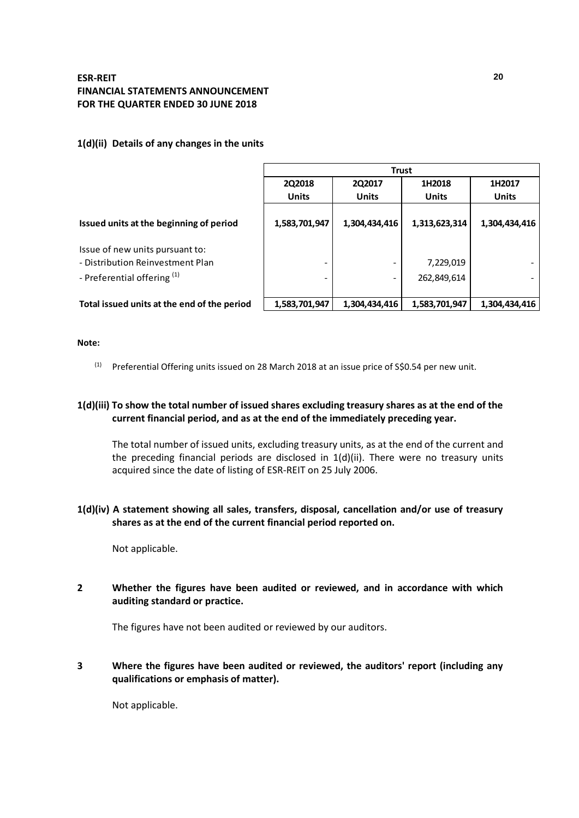## **1(d)(ii) Details of any changes in the units**

|                                             | <b>Trust</b>                         |               |               |               |  |  |
|---------------------------------------------|--------------------------------------|---------------|---------------|---------------|--|--|
|                                             | 2Q2018<br>2Q2017<br>1H2018<br>1H2017 |               |               |               |  |  |
|                                             | <b>Units</b>                         | <b>Units</b>  | <b>Units</b>  | <b>Units</b>  |  |  |
| Issued units at the beginning of period     | 1,583,701,947                        | 1,304,434,416 | 1,313,623,314 | 1,304,434,416 |  |  |
| Issue of new units pursuant to:             |                                      |               |               |               |  |  |
| - Distribution Reinvestment Plan            | -                                    |               | 7,229,019     |               |  |  |
| - Preferential offering <sup>(1)</sup>      | -                                    |               | 262,849,614   |               |  |  |
| Total issued units at the end of the period | 1,583,701,947                        | 1,304,434,416 | 1,583,701,947 | 1,304,434,416 |  |  |

### **Note:**

 $(1)$  Preferential Offering units issued on 28 March 2018 at an issue price of S\$0.54 per new unit.

## **1(d)(iii) To show the total number of issued shares excluding treasury shares as at the end of the current financial period, and as at the end of the immediately preceding year.**

The total number of issued units, excluding treasury units, as at the end of the current and the preceding financial periods are disclosed in  $1(d)(ii)$ . There were no treasury units acquired since the date of listing of ESR-REIT on 25 July 2006.

## **1(d)(iv) A statement showing all sales, transfers, disposal, cancellation and/or use of treasury shares as at the end of the current financial period reported on.**

Not applicable.

## **2 Whether the figures have been audited or reviewed, and in accordance with which auditing standard or practice.**

The figures have not been audited or reviewed by our auditors.

## **3 Where the figures have been audited or reviewed, the auditors' report (including any qualifications or emphasis of matter).**

Not applicable.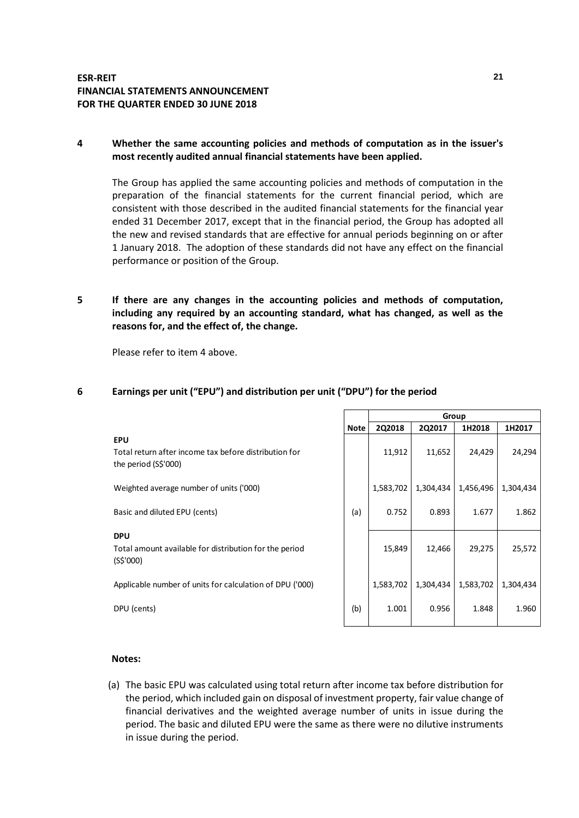## **4 Whether the same accounting policies and methods of computation as in the issuer's most recently audited annual financial statements have been applied.**

The Group has applied the same accounting policies and methods of computation in the preparation of the financial statements for the current financial period, which are consistent with those described in the audited financial statements for the financial year ended 31 December 2017, except that in the financial period, the Group has adopted all the new and revised standards that are effective for annual periods beginning on or after 1 January 2018. The adoption of these standards did not have any effect on the financial performance or position of the Group.

**5 If there are any changes in the accounting policies and methods of computation, including any required by an accounting standard, what has changed, as well as the reasons for, and the effect of, the change.**

Please refer to item 4 above.

# **6 Earnings per unit ("EPU") and distribution per unit ("DPU") for the period**

|                                                                                             |             | Group     |           |           |           |
|---------------------------------------------------------------------------------------------|-------------|-----------|-----------|-----------|-----------|
|                                                                                             | <b>Note</b> | 2Q2018    | 2Q2017    | 1H2018    | 1H2017    |
| <b>EPU</b><br>Total return after income tax before distribution for<br>the period (S\$'000) |             | 11,912    | 11,652    | 24,429    | 24,294    |
| Weighted average number of units ('000)                                                     |             | 1,583,702 | 1,304,434 | 1,456,496 | 1,304,434 |
| Basic and diluted EPU (cents)                                                               | (a)         | 0.752     | 0.893     | 1.677     | 1.862     |
| <b>DPU</b><br>Total amount available for distribution for the period<br>(S\$'000)           |             | 15,849    | 12,466    | 29,275    | 25,572    |
| Applicable number of units for calculation of DPU ('000)                                    |             | 1,583,702 | 1,304,434 | 1,583,702 | 1,304,434 |
| DPU (cents)                                                                                 | (b)         | 1.001     | 0.956     | 1.848     | 1.960     |

### **Notes:**

(a) The basic EPU was calculated using total return after income tax before distribution for the period, which included gain on disposal of investment property, fair value change of financial derivatives and the weighted average number of units in issue during the period. The basic and diluted EPU were the same as there were no dilutive instruments in issue during the period.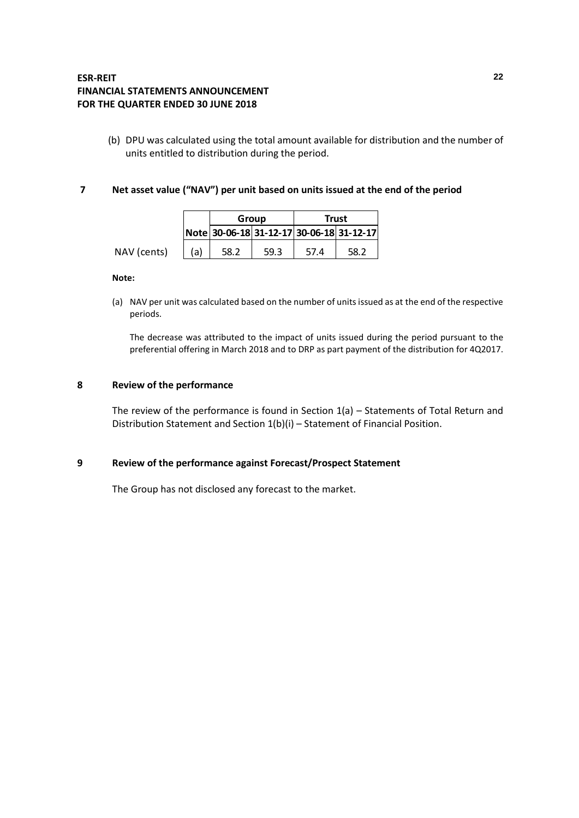(b) DPU was calculated using the total amount available for distribution and the number of units entitled to distribution during the period.

### **7 Net asset value ("NAV") per unit based on units issued at the end of the period**

|             |     | Group |      | <b>Trust</b> |                                          |
|-------------|-----|-------|------|--------------|------------------------------------------|
|             |     |       |      |              | Note 30-06-18 31-12-17 30-06-18 31-12-17 |
| NAV (cents) | (a) | 58.2  | 59.3 | 57.4         | 58.2                                     |

### **Note:**

(a) NAV per unit was calculated based on the number of units issued as at the end of the respective periods.

The decrease was attributed to the impact of units issued during the period pursuant to the preferential offering in March 2018 and to DRP as part payment of the distribution for 4Q2017.

### **8 Review of the performance**

The review of the performance is found in Section 1(a) – Statements of Total Return and Distribution Statement and Section 1(b)(i) – Statement of Financial Position.

### **9 Review of the performance against Forecast/Prospect Statement**

The Group has not disclosed any forecast to the market.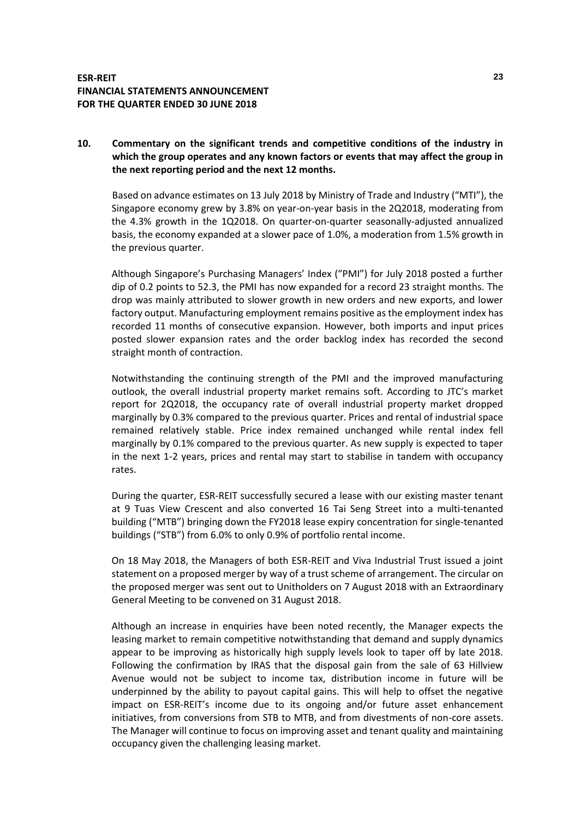## **10. Commentary on the significant trends and competitive conditions of the industry in which the group operates and any known factors or events that may affect the group in the next reporting period and the next 12 months.**

Based on advance estimates on 13 July 2018 by Ministry of Trade and Industry ("MTI"), the Singapore economy grew by 3.8% on year-on-year basis in the 2Q2018, moderating from the 4.3% growth in the 1Q2018. On quarter-on-quarter seasonally-adjusted annualized basis, the economy expanded at a slower pace of 1.0%, a moderation from 1.5% growth in the previous quarter.

Although Singapore's Purchasing Managers' Index ("PMI") for July 2018 posted a further dip of 0.2 points to 52.3, the PMI has now expanded for a record 23 straight months. The drop was mainly attributed to slower growth in new orders and new exports, and lower factory output. Manufacturing employment remains positive as the employment index has recorded 11 months of consecutive expansion. However, both imports and input prices posted slower expansion rates and the order backlog index has recorded the second straight month of contraction.

Notwithstanding the continuing strength of the PMI and the improved manufacturing outlook, the overall industrial property market remains soft. According to JTC's market report for 2Q2018, the occupancy rate of overall industrial property market dropped marginally by 0.3% compared to the previous quarter. Prices and rental of industrial space remained relatively stable. Price index remained unchanged while rental index fell marginally by 0.1% compared to the previous quarter. As new supply is expected to taper in the next 1-2 years, prices and rental may start to stabilise in tandem with occupancy rates.

During the quarter, ESR-REIT successfully secured a lease with our existing master tenant at 9 Tuas View Crescent and also converted 16 Tai Seng Street into a multi-tenanted building ("MTB") bringing down the FY2018 lease expiry concentration for single-tenanted buildings ("STB") from 6.0% to only 0.9% of portfolio rental income.

On 18 May 2018, the Managers of both ESR-REIT and Viva Industrial Trust issued a joint statement on a proposed merger by way of a trust scheme of arrangement. The circular on the proposed merger was sent out to Unitholders on 7 August 2018 with an Extraordinary General Meeting to be convened on 31 August 2018.

Although an increase in enquiries have been noted recently, the Manager expects the leasing market to remain competitive notwithstanding that demand and supply dynamics appear to be improving as historically high supply levels look to taper off by late 2018. Following the confirmation by IRAS that the disposal gain from the sale of 63 Hillview Avenue would not be subject to income tax, distribution income in future will be underpinned by the ability to payout capital gains. This will help to offset the negative impact on ESR-REIT's income due to its ongoing and/or future asset enhancement initiatives, from conversions from STB to MTB, and from divestments of non-core assets. The Manager will continue to focus on improving asset and tenant quality and maintaining occupancy given the challenging leasing market.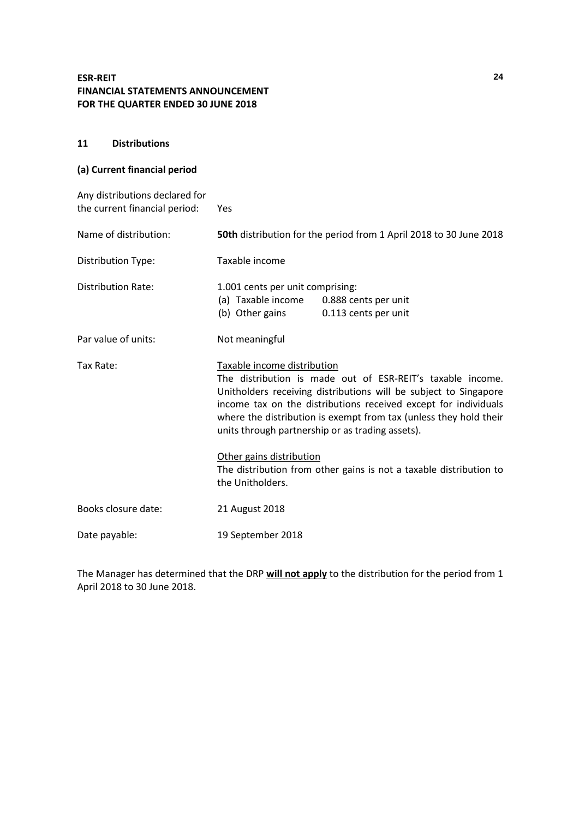### **11 Distributions**

## **(a) Current financial period**

| Any distributions declared for<br>the current financial period: | Yes                                                                                                                                                                                                                                                                                                                                                                                                                                                                             |
|-----------------------------------------------------------------|---------------------------------------------------------------------------------------------------------------------------------------------------------------------------------------------------------------------------------------------------------------------------------------------------------------------------------------------------------------------------------------------------------------------------------------------------------------------------------|
| Name of distribution:                                           | 50th distribution for the period from 1 April 2018 to 30 June 2018                                                                                                                                                                                                                                                                                                                                                                                                              |
| Distribution Type:                                              | Taxable income                                                                                                                                                                                                                                                                                                                                                                                                                                                                  |
| <b>Distribution Rate:</b>                                       | 1.001 cents per unit comprising:<br>(a) Taxable income 0.888 cents per unit<br>(b) Other gains<br>0.113 cents per unit                                                                                                                                                                                                                                                                                                                                                          |
| Par value of units:                                             | Not meaningful                                                                                                                                                                                                                                                                                                                                                                                                                                                                  |
| Tax Rate:                                                       | Taxable income distribution<br>The distribution is made out of ESR-REIT's taxable income.<br>Unitholders receiving distributions will be subject to Singapore<br>income tax on the distributions received except for individuals<br>where the distribution is exempt from tax (unless they hold their<br>units through partnership or as trading assets).<br>Other gains distribution<br>The distribution from other gains is not a taxable distribution to<br>the Unitholders. |
|                                                                 |                                                                                                                                                                                                                                                                                                                                                                                                                                                                                 |
| Books closure date:                                             | 21 August 2018                                                                                                                                                                                                                                                                                                                                                                                                                                                                  |
| Date payable:                                                   | 19 September 2018                                                                                                                                                                                                                                                                                                                                                                                                                                                               |

The Manager has determined that the DRP **will not apply** to the distribution for the period from 1 April 2018 to 30 June 2018.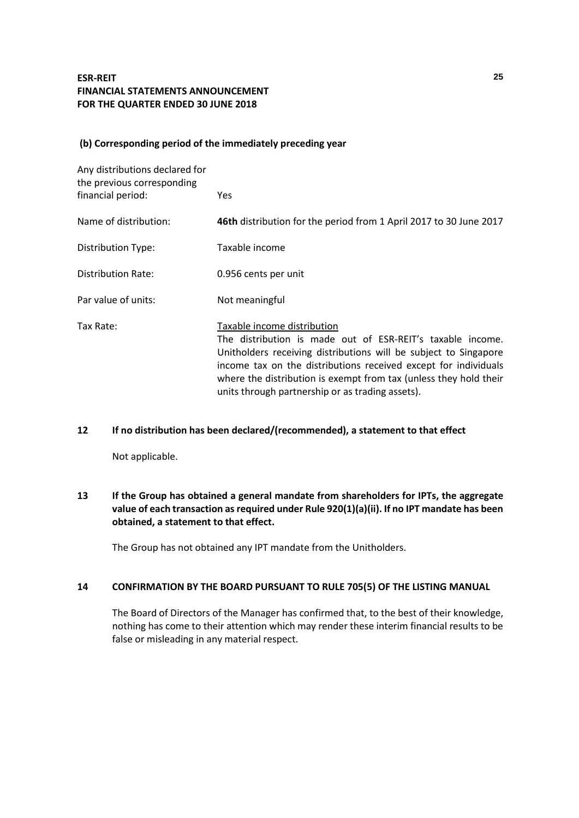### **(b) Corresponding period of the immediately preceding year**

| Any distributions declared for<br>the previous corresponding |                                                                                                                                                                                                                                                                                                                                                           |
|--------------------------------------------------------------|-----------------------------------------------------------------------------------------------------------------------------------------------------------------------------------------------------------------------------------------------------------------------------------------------------------------------------------------------------------|
| financial period:                                            | Yes.                                                                                                                                                                                                                                                                                                                                                      |
| Name of distribution:                                        | 46th distribution for the period from 1 April 2017 to 30 June 2017                                                                                                                                                                                                                                                                                        |
| Distribution Type:                                           | Taxable income                                                                                                                                                                                                                                                                                                                                            |
| Distribution Rate:                                           | 0.956 cents per unit                                                                                                                                                                                                                                                                                                                                      |
| Par value of units:                                          | Not meaningful                                                                                                                                                                                                                                                                                                                                            |
| Tax Rate:                                                    | Taxable income distribution<br>The distribution is made out of ESR-REIT's taxable income.<br>Unitholders receiving distributions will be subject to Singapore<br>income tax on the distributions received except for individuals<br>where the distribution is exempt from tax (unless they hold their<br>units through partnership or as trading assets). |

## **12 If no distribution has been declared/(recommended), a statement to that effect**

Not applicable.

## **13 If the Group has obtained a general mandate from shareholders for IPTs, the aggregate value of each transaction as required under Rule 920(1)(a)(ii). If no IPT mandate has been obtained, a statement to that effect.**

The Group has not obtained any IPT mandate from the Unitholders.

### **14 CONFIRMATION BY THE BOARD PURSUANT TO RULE 705(5) OF THE LISTING MANUAL**

The Board of Directors of the Manager has confirmed that, to the best of their knowledge, nothing has come to their attention which may render these interim financial results to be false or misleading in any material respect.